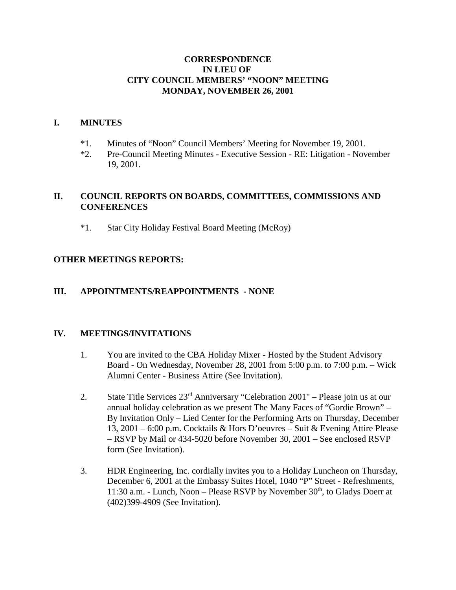#### **CORRESPONDENCE IN LIEU OF CITY COUNCIL MEMBERS' "NOON" MEETING MONDAY, NOVEMBER 26, 2001**

#### **I. MINUTES**

- \*1. Minutes of "Noon" Council Members' Meeting for November 19, 2001.
- \*2. Pre-Council Meeting Minutes Executive Session RE: Litigation November 19, 2001.

## **II. COUNCIL REPORTS ON BOARDS, COMMITTEES, COMMISSIONS AND CONFERENCES**

\*1. Star City Holiday Festival Board Meeting (McRoy)

## **OTHER MEETINGS REPORTS:**

#### **III. APPOINTMENTS/REAPPOINTMENTS - NONE**

#### **IV. MEETINGS/INVITATIONS**

- 1. You are invited to the CBA Holiday Mixer Hosted by the Student Advisory Board - On Wednesday, November 28, 2001 from 5:00 p.m. to 7:00 p.m. – Wick Alumni Center - Business Attire (See Invitation).
- 2. State Title Services 23rd Anniversary "Celebration 2001" Please join us at our annual holiday celebration as we present The Many Faces of "Gordie Brown" – By Invitation Only – Lied Center for the Performing Arts on Thursday, December 13, 2001 – 6:00 p.m. Cocktails & Hors D'oeuvres – Suit & Evening Attire Please – RSVP by Mail or 434-5020 before November 30, 2001 – See enclosed RSVP form (See Invitation).
- 3. HDR Engineering, Inc. cordially invites you to a Holiday Luncheon on Thursday, December 6, 2001 at the Embassy Suites Hotel, 1040 "P" Street - Refreshments, 11:30 a.m. - Lunch, Noon – Please RSVP by November  $30<sup>th</sup>$ , to Gladys Doerr at (402)399-4909 (See Invitation).